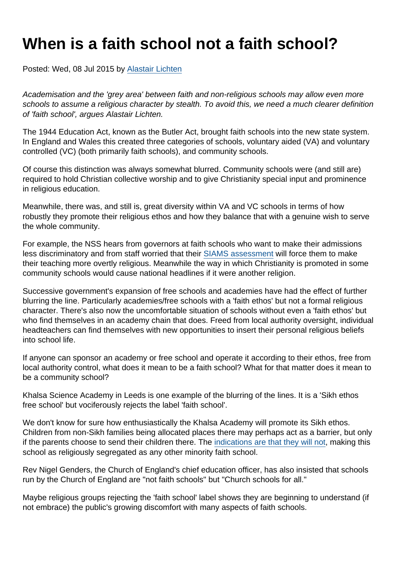## When is a faith school not a faith school?

Posted: Wed, 08 Jul 2015 by [Alastair Lichten](https://www.secularism.org.uk/opinion/authors/847)

Academisation and the 'grey area' between faith and non-religious schools may allow even more schools to assume a religious character by stealth. To avoid this, we need a much clearer definition of 'faith school', argues Alastair Lichten.

The 1944 Education Act, known as the Butler Act, brought faith schools into the new state system. In England and Wales this created three categories of schools, voluntary aided (VA) and voluntary controlled (VC) (both primarily faith schools), and community schools.

Of course this distinction was always somewhat blurred. Community schools were (and still are) required to hold Christian collective worship and to give Christianity special input and prominence in religious education.

Meanwhile, there was, and still is, great diversity within VA and VC schools in terms of how robustly they promote their religious ethos and how they balance that with a genuine wish to serve the whole community.

For example, the NSS hears from governors at faith schools who want to make their admissions less discriminatory and from staff worried that their [SIAMS assessment](https://www.churchofengland.org/education/church-schools-academies/siams-school-inspections.aspx) will force them to make their teaching more overtly religious. Meanwhile the way in which Christianity is promoted in some community schools would cause national headlines if it were another religion.

Successive government's expansion of free schools and academies have had the effect of further blurring the line. Particularly academies/free schools with a 'faith ethos' but not a formal religious character. There's also now the uncomfortable situation of schools without even a 'faith ethos' but who find themselves in an academy chain that does. Freed from local authority oversight, individual headteachers can find themselves with new opportunities to insert their personal religious beliefs into school life.

If anyone can sponsor an academy or free school and operate it according to their ethos, free from local authority control, what does it mean to be a faith school? What for that matter does it mean to be a community school?

Khalsa Science Academy in Leeds is one example of the blurring of the lines. It is a 'Sikh ethos free school' but vociferously rejects the label 'faith school'.

We don't know for sure how enthusiastically the Khalsa Academy will promote its Sikh ethos. Children from non-Sikh families being allocated places there may perhaps act as a barrier, but only if the parents choose to send their children there. The [indications are that they will not](https://www.secularism.org.uk/news/2015/04/nss-backs-parents-allocated-sikh-school-against-their-wishes), making this school as religiously segregated as any other minority faith school.

Rev Nigel Genders, the Church of England's chief education officer, has also insisted that schools run by the Church of England are "not faith schools" but "Church schools for all."

Maybe religious groups rejecting the 'faith school' label shows they are beginning to understand (if not embrace) the public's growing discomfort with many aspects of faith schools.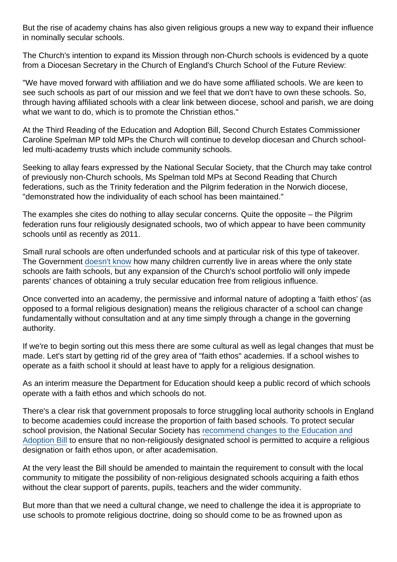But the rise of academy chains has also given religious groups a new way to expand their influence in nominally secular schools.

The Church's intention to expand its Mission through non-Church schools is evidenced by a quote from a Diocesan Secretary in the Church of England's Church School of the Future Review:

"We have moved forward with affiliation and we do have some affiliated schools. We are keen to see such schools as part of our mission and we feel that we don't have to own these schools. So, through having affiliated schools with a clear link between diocese, school and parish, we are doing what we want to do, which is to promote the Christian ethos."

At the Third Reading of the Education and Adoption Bill, Second Church Estates Commissioner Caroline Spelman MP told MPs the Church will continue to develop diocesan and Church schoolled multi-academy trusts which include community schools.

Seeking to allay fears expressed by the National Secular Society, that the Church may take control of previously non-Church schools, Ms Spelman told MPs at Second Reading that Church federations, such as the Trinity federation and the Pilgrim federation in the Norwich diocese, "demonstrated how the individuality of each school has been maintained."

The examples she cites do nothing to allay secular concerns. Quite the opposite – the Pilgrim federation runs four religiously designated schools, two of which appear to have been community schools until as recently as 2011.

Small rural schools are often underfunded schools and at particular risk of this type of takeover. The Government [doesn't know](http://www.publications.parliament.uk/pa/cm201415/cmhansrd/cm140624/text/140624w0001.htm#140624w0001.htm_wqn49) how many children currently live in areas where the only state schools are faith schools, but any expansion of the Church's school portfolio will only impede parents' chances of obtaining a truly secular education free from religious influence.

Once converted into an academy, the permissive and informal nature of adopting a 'faith ethos' (as opposed to a formal religious designation) means the religious character of a school can change fundamentally without consultation and at any time simply through a change in the governing authority.

If we're to begin sorting out this mess there are some cultural as well as legal changes that must be made. Let's start by getting rid of the grey area of "faith ethos" academies. If a school wishes to operate as a faith school it should at least have to apply for a religious designation.

As an interim measure the Department for Education should keep a public record of which schools operate with a faith ethos and which schools do not.

There's a clear risk that government proposals to force struggling local authority schools in England to become academies could increase the proportion of faith based schools. To protect secular school provision, the National Secular Society has [recommend changes to the Education and](http://www.publications.parliament.uk/pa/cm201516/cmpublic/educationadoption/memo/educ12.htm) [Adoption Bill](http://www.publications.parliament.uk/pa/cm201516/cmpublic/educationadoption/memo/educ12.htm) to ensure that no non-religiously designated school is permitted to acquire a religious designation or faith ethos upon, or after academisation.

At the very least the Bill should be amended to maintain the requirement to consult with the local community to mitigate the possibility of non-religious designated schools acquiring a faith ethos without the clear support of parents, pupils, teachers and the wider community.

But more than that we need a cultural change, we need to challenge the idea it is appropriate to use schools to promote religious doctrine, doing so should come to be as frowned upon as